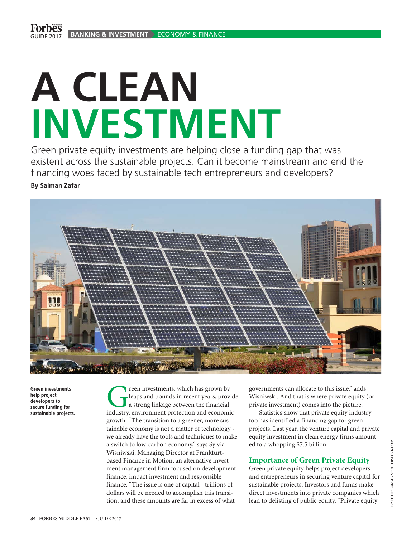## **A CLEAN INVESTMENT**

Green private equity investments are helping close a funding gap that was existent across the sustainable projects. Can it become mainstream and end the financing woes faced by sustainable tech entrepreneurs and developers? **By Salman Zafar**



**Green investments help project developers to secure funding for sustainable projects.**

**Creen investments, which has grown by leaps and bounds in recent years, provided a strong linkage between the financial industry, environment protection and economic** leaps and bounds in recent years, provide a strong linkage between the financial growth. "The transition to a greener, more sustainable economy is not a matter of technology we already have the tools and techniques to make a switch to low-carbon economy," says Sylvia Wisniwski, Managing Director at Frankfurtbased Finance in Motion, an alternative investment management firm focused on development finance, impact investment and responsible finance. "The issue is one of capital - trillions of dollars will be needed to accomplish this transition, and these amounts are far in excess of what

governments can allocate to this issue," adds Wisniwski. And that is where private equity (or private investment) comes into the picture.

Statistics show that private equity industry too has identified a financing gap for green projects. Last year, the venture capital and private equity investment in clean energy firms amounted to a whopping \$7.5 billion.

## **Importance of Green Private Equity**

Green private equity helps project developers and entrepreneurs in securing venture capital for sustainable projects. Investors and funds make direct investments into private companies which lead to delisting of public equity. "Private equity